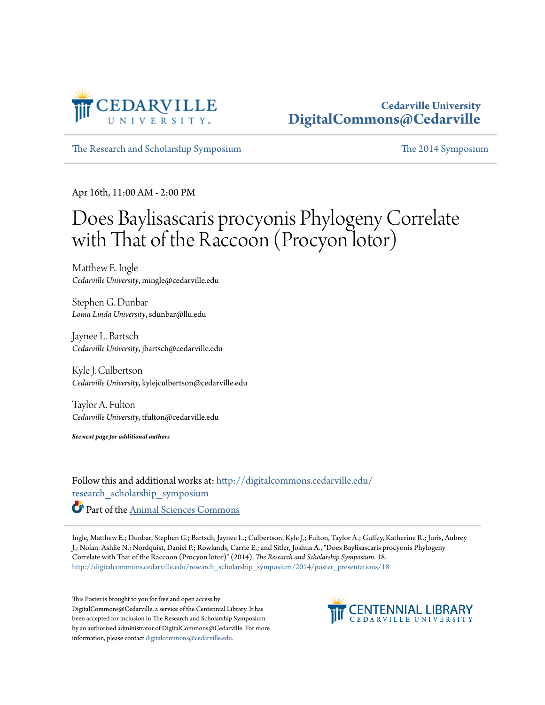

#### **Cedarville University [DigitalCommons@Cedarville](http://digitalcommons.cedarville.edu?utm_source=digitalcommons.cedarville.edu%2Fresearch_scholarship_symposium%2F2014%2Fposter_presentations%2F18&utm_medium=PDF&utm_campaign=PDFCoverPages)**

[The Research and Scholarship Symposium](http://digitalcommons.cedarville.edu/research_scholarship_symposium?utm_source=digitalcommons.cedarville.edu%2Fresearch_scholarship_symposium%2F2014%2Fposter_presentations%2F18&utm_medium=PDF&utm_campaign=PDFCoverPages) [The 2014 Symposium](http://digitalcommons.cedarville.edu/research_scholarship_symposium/2014?utm_source=digitalcommons.cedarville.edu%2Fresearch_scholarship_symposium%2F2014%2Fposter_presentations%2F18&utm_medium=PDF&utm_campaign=PDFCoverPages)

Apr 16th, 11:00 AM - 2:00 PM

#### Does Baylisascaris procyonis Phylogeny Correlate with That of the Raccoon (Procyon lotor)

Matthew E. Ingle *Cedarville University*, mingle@cedarville.edu

Stephen G. Dunbar *Loma Linda University*, sdunbar@llu.edu

Jaynee L. Bartsch *Cedarville University*, jbartsch@cedarville.edu

Kyle J. Culbertson *Cedarville University*, kylejculbertson@cedarville.edu

Taylor A. Fulton *Cedarville University*, tfulton@cedarville.edu

*See next page for additional authors*

Follow this and additional works at: [http://digitalcommons.cedarville.edu/](http://digitalcommons.cedarville.edu/research_scholarship_symposium?utm_source=digitalcommons.cedarville.edu%2Fresearch_scholarship_symposium%2F2014%2Fposter_presentations%2F18&utm_medium=PDF&utm_campaign=PDFCoverPages) [research\\_scholarship\\_symposium](http://digitalcommons.cedarville.edu/research_scholarship_symposium?utm_source=digitalcommons.cedarville.edu%2Fresearch_scholarship_symposium%2F2014%2Fposter_presentations%2F18&utm_medium=PDF&utm_campaign=PDFCoverPages) Part of the [Animal Sciences Commons](http://network.bepress.com/hgg/discipline/76?utm_source=digitalcommons.cedarville.edu%2Fresearch_scholarship_symposium%2F2014%2Fposter_presentations%2F18&utm_medium=PDF&utm_campaign=PDFCoverPages)

Ingle, Matthew E.; Dunbar, Stephen G.; Bartsch, Jaynee L.; Culbertson, Kyle J.; Fulton, Taylor A.; Guffey, Katherine R.; Juris, Aubrey J.; Nolan, Ashlie N.; Nordquist, Daniel P.; Rowlands, Carrie E.; and Sitler, Joshua A., "Does Baylisascaris procyonis Phylogeny Correlate with That of the Raccoon (Procyon lotor)" (2014). *The Research and Scholarship Symposium*. 18. [http://digitalcommons.cedarville.edu/research\\_scholarship\\_symposium/2014/poster\\_presentations/18](http://digitalcommons.cedarville.edu/research_scholarship_symposium/2014/poster_presentations/18?utm_source=digitalcommons.cedarville.edu%2Fresearch_scholarship_symposium%2F2014%2Fposter_presentations%2F18&utm_medium=PDF&utm_campaign=PDFCoverPages)

This Poster is brought to you for free and open access by DigitalCommons@Cedarville, a service of the Centennial Library. It has been accepted for inclusion in The Research and Scholarship Symposium by an authorized administrator of DigitalCommons@Cedarville. For more information, please contact [digitalcommons@cedarville.edu.](mailto:digitalcommons@cedarville.edu)

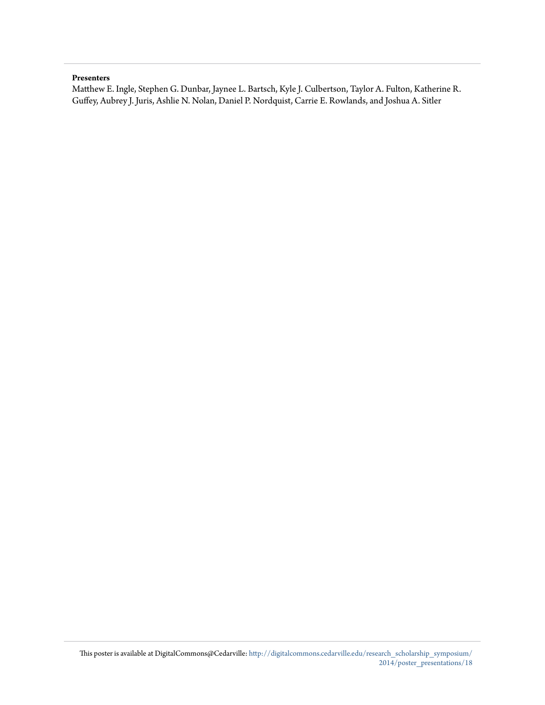#### **Presenters**

Matthew E. Ingle, Stephen G. Dunbar, Jaynee L. Bartsch, Kyle J. Culbertson, Taylor A. Fulton, Katherine R. Guffey, Aubrey J. Juris, Ashlie N. Nolan, Daniel P. Nordquist, Carrie E. Rowlands, and Joshua A. Sitler